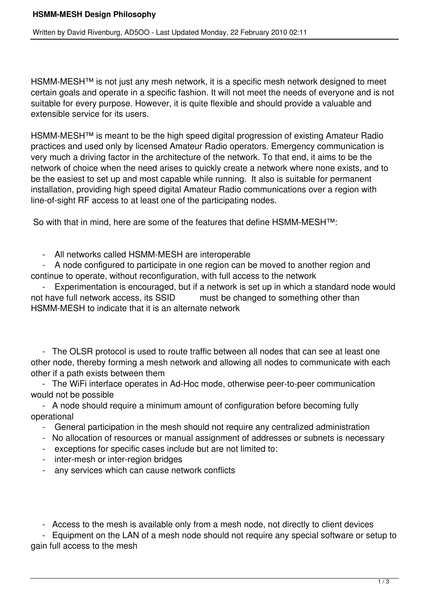HSMM-MESH<sup>™</sup> is not just any mesh network, it is a specific mesh network designed to meet certain goals and operate in a specific fashion. It will not meet the needs of everyone and is not suitable for every purpose. However, it is quite flexible and should provide a valuable and extensible service for its users.

HSMM-MESH™ is meant to be the high speed digital progression of existing Amateur Radio practices and used only by licensed Amateur Radio operators. Emergency communication is very much a driving factor in the architecture of the network. To that end, it aims to be the network of choice when the need arises to quickly create a network where none exists, and to be the easiest to set up and most capable while running. It also is suitable for permanent installation, providing high speed digital Amateur Radio communications over a region with line-of-sight RF access to at least one of the participating nodes.

So with that in mind, here are some of the features that define HSMM-MESH™:

- All networks called HSMM-MESH are interoperable

 - A node configured to participate in one region can be moved to another region and continue to operate, without reconfiguration, with full access to the network

- Experimentation is encouraged, but if a network is set up in which a standard node would<br>not have full network access, its SSID must be changed to something other than must be changed to something other than HSMM-MESH to indicate that it is an alternate network

 - The OLSR protocol is used to route traffic between all nodes that can see at least one other node, thereby forming a mesh network and allowing all nodes to communicate with each other if a path exists between them

 - The WiFi interface operates in Ad-Hoc mode, otherwise peer-to-peer communication would not be possible

 - A node should require a minimum amount of configuration before becoming fully operational

- General participation in the mesh should not require any centralized administration
- No allocation of resources or manual assignment of addresses or subnets is necessary
- exceptions for specific cases include but are not limited to:
- inter-mesh or inter-region bridges
- any services which can cause network conflicts

- Access to the mesh is available only from a mesh node, not directly to client devices

 - Equipment on the LAN of a mesh node should not require any special software or setup to gain full access to the mesh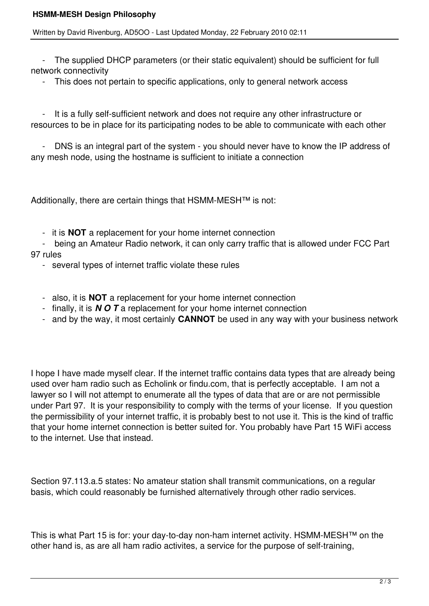## **HSMM-MESH Design Philosophy**

## Written by David Rivenburg, AD5OO - Last Updated Monday, 22 February 2010 02:11

 - The supplied DHCP parameters (or their static equivalent) should be sufficient for full network connectivity

- This does not pertain to specific applications, only to general network access

 - It is a fully self-sufficient network and does not require any other infrastructure or resources to be in place for its participating nodes to be able to communicate with each other

 - DNS is an integral part of the system - you should never have to know the IP address of any mesh node, using the hostname is sufficient to initiate a connection

Additionally, there are certain things that HSMM-MESH™ is not:

- it is **NOT** a replacement for your home internet connection
- being an Amateur Radio network, it can only carry traffic that is allowed under FCC Part 97 rules
	- several types of internet traffic violate these rules
	- also, it is **NOT** a replacement for your home internet connection
	- finally, it is *N O T* a replacement for your home internet connection
	- and by the way, it most certainly **CANNOT** be used in any way with your business network

I hope I have made myself clear. If the internet traffic contains data types that are already being used over ham radio such as Echolink or findu.com, that is perfectly acceptable. I am not a lawyer so I will not attempt to enumerate all the types of data that are or are not permissible under Part 97. It is your responsibility to comply with the terms of your license. If you question the permissibility of your internet traffic, it is probably best to not use it. This is the kind of traffic that your home internet connection is better suited for. You probably have Part 15 WiFi access to the internet. Use that instead.

Section 97.113.a.5 states: No amateur station shall transmit communications, on a regular basis, which could reasonably be furnished alternatively through other radio services.

This is what Part 15 is for: your day-to-day non-ham internet activity. HSMM-MESH™ on the other hand is, as are all ham radio activites, a service for the purpose of self-training,